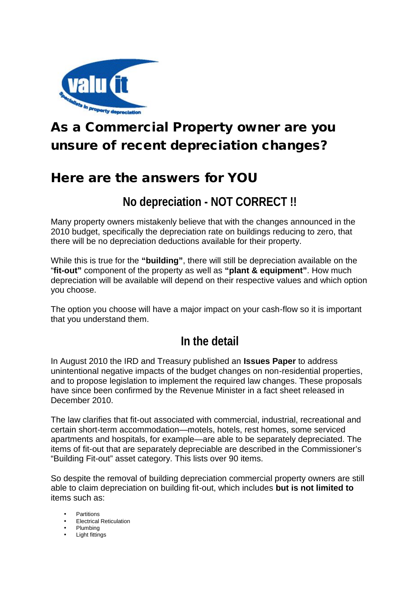

# **As a Commercial Property owner are you unsure of recent depreciation changes?**

### **Here are the answers for YOU**

#### **No depreciation - NOT CORRECT !!**

Many property owners mistakenly believe that with the changes announced in the 2010 budget, specifically the depreciation rate on buildings reducing to zero, that there will be no depreciation deductions available for their property.

While this is true for the **"building"**, there will still be depreciation available on the "**fit-out"** component of the property as well as **"plant & equipment"**. How much depreciation will be available will depend on their respective values and which option you choose.

The option you choose will have a major impact on your cash-flow so it is important that you understand them.

### **In the detail**

In August 2010 the IRD and Treasury published an **Issues Paper** to address unintentional negative impacts of the budget changes on non-residential properties, and to propose legislation to implement the required law changes. These proposals have since been confirmed by the Revenue Minister in a fact sheet released in December 2010.

The law clarifies that fit-out associated with commercial, industrial, recreational and certain short-term accommodation—motels, hotels, rest homes, some serviced apartments and hospitals, for example—are able to be separately depreciated. The items of fit-out that are separately depreciable are described in the Commissioner's "Building Fit-out" asset category. This lists over 90 items.

So despite the removal of building depreciation commercial property owners are still able to claim depreciation on building fit-out, which includes **but is not limited to** items such as:

- **Partitions**
- Electrical Reticulation
- Plumbing
- Light fittings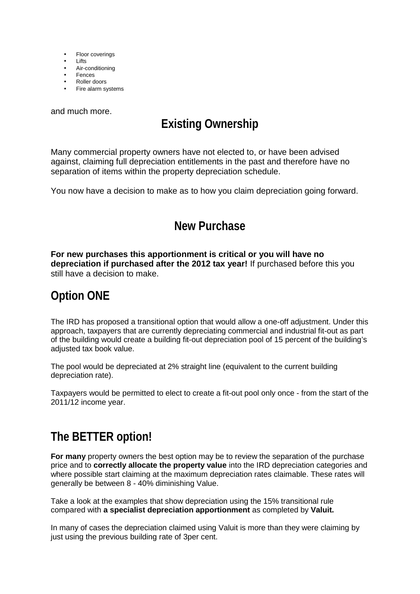- Floor coverings
- Lifts
- Air-conditioning
- Fences Roller doors
- Fire alarm systems

and much more.

## **Existing Ownership**

Many commercial property owners have not elected to, or have been advised against, claiming full depreciation entitlements in the past and therefore have no separation of items within the property depreciation schedule.

You now have a decision to make as to how you claim depreciation going forward.

#### **New Purchase**

**For new purchases this apportionment is critical or you will have no depreciation if purchased after the 2012 tax year!** If purchased before this you still have a decision to make.

#### **Option ONE**

The IRD has proposed a transitional option that would allow a one-off adjustment. Under this approach, taxpayers that are currently depreciating commercial and industrial fit-out as part of the building would create a building fit-out depreciation pool of 15 percent of the building's adjusted tax book value.

The pool would be depreciated at 2% straight line (equivalent to the current building depreciation rate).

Taxpayers would be permitted to elect to create a fit-out pool only once - from the start of the 2011/12 income year.

### **The BETTER option!**

**For many** property owners the best option may be to review the separation of the purchase price and to **correctly allocate the property value** into the IRD depreciation categories and where possible start claiming at the maximum depreciation rates claimable. These rates will generally be between 8 - 40% diminishing Value.

Take a look at the examples that show depreciation using the 15% transitional rule compared with **a specialist depreciation apportionment** as completed by **Valuit.**

In many of cases the depreciation claimed using Valuit is more than they were claiming by just using the previous building rate of 3per cent.